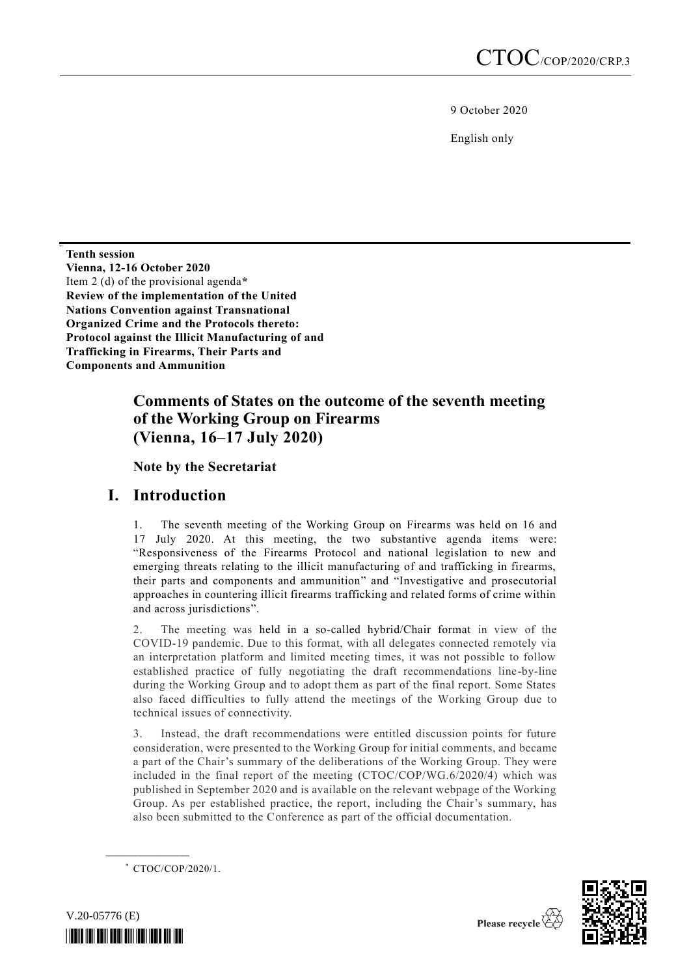9 October 2020

English only

**Tenth session Vienna, 12-16 October 2020** Item 2 (d) of the provisional agenda**\* Review of the implementation of the United Nations Convention against Transnational Organized Crime and the Protocols thereto: Protocol against the Illicit Manufacturing of and Trafficking in Firearms, Their Parts and Components and Ammunition**

# **Comments of States on the outcome of the seventh meeting of the Working Group on Firearms (Vienna, 16–17 July 2020)**

**Note by the Secretariat**

# **I. Introduction**

1. The seventh meeting of the Working Group on Firearms was held on 16 and 17 July 2020. At this meeting, the two substantive agenda items were: "Responsiveness of the Firearms Protocol and national legislation to new and emerging threats relating to the illicit manufacturing of and trafficking in firearms, their parts and components and ammunition" and "Investigative and prosecutorial approaches in countering illicit firearms trafficking and related forms of crime within and across jurisdictions".

2. The meeting was held in a so-called hybrid/Chair format in view of the COVID-19 pandemic. Due to this format, with all delegates connected remotely via an interpretation platform and limited meeting times, it was not possible to follow established practice of fully negotiating the draft recommendations line-by-line during the Working Group and to adopt them as part of the final report. Some States also faced difficulties to fully attend the meetings of the Working Group due to technical issues of connectivity.

3. Instead, the draft recommendations were entitled discussion points for future consideration, were presented to the Working Group for initial comments, and became a part of the Chair's summary of the deliberations of the Working Group. They were included in the final report of the meeting (CTOC/COP/WG.6/2020/4) which was published in September 2020 and is available on the relevant webpage of the Working Group. As per established practice, the report, including the Chair's summary, has also been submitted to the Conference as part of the official documentation.

\* CTOC/COP/2020/1.

**\_\_\_\_\_\_\_\_\_\_\_\_\_\_\_\_\_\_**



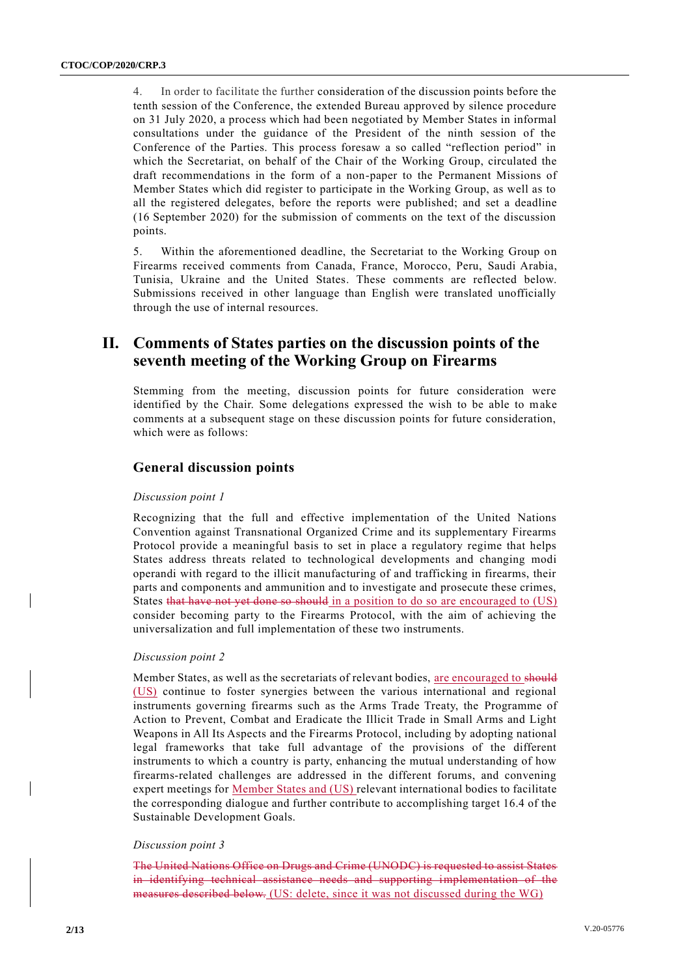4. In order to facilitate the further consideration of the discussion points before the tenth session of the Conference, the extended Bureau approved by silence procedure on 31 July 2020, a process which had been negotiated by Member States in informal consultations under the guidance of the President of the ninth session of the Conference of the Parties. This process foresaw a so called "reflection period" in which the Secretariat, on behalf of the Chair of the Working Group, circulated the draft recommendations in the form of a non-paper to the Permanent Missions of Member States which did register to participate in the Working Group, as well as to all the registered delegates, before the reports were published; and set a deadline (16 September 2020) for the submission of comments on the text of the discussion points.

5. Within the aforementioned deadline, the Secretariat to the Working Group on Firearms received comments from Canada, France, Morocco, Peru, Saudi Arabia, Tunisia, Ukraine and the United States. These comments are reflected below. Submissions received in other language than English were translated unofficially through the use of internal resources.

# **II. Comments of States parties on the discussion points of the seventh meeting of the Working Group on Firearms**

Stemming from the meeting, discussion points for future consideration were identified by the Chair. Some delegations expressed the wish to be able to make comments at a subsequent stage on these discussion points for future consideration, which were as follows:

## **General discussion points**

#### *Discussion point 1*

Recognizing that the full and effective implementation of the United Nations Convention against Transnational Organized Crime and its supplementary Firearms Protocol provide a meaningful basis to set in place a regulatory regime that helps States address threats related to technological developments and changing modi operandi with regard to the illicit manufacturing of and trafficking in firearms, their parts and components and ammunition and to investigate and prosecute these crimes, States that have not yet done so should in a position to do so are encouraged to (US) consider becoming party to the Firearms Protocol, with the aim of achieving the universalization and full implementation of these two instruments.

## *Discussion point 2*

Member States, as well as the secretariats of relevant bodies, are encouraged to should (US) continue to foster synergies between the various international and regional instruments governing firearms such as the Arms Trade Treaty, the Programme of Action to Prevent, Combat and Eradicate the Illicit Trade in Small Arms and Light Weapons in All Its Aspects and the Firearms Protocol, including by adopting national legal frameworks that take full advantage of the provisions of the different instruments to which a country is party, enhancing the mutual understanding of how firearms-related challenges are addressed in the different forums, and convening expert meetings for Member States and (US) relevant international bodies to facilitate the corresponding dialogue and further contribute to accomplishing target 16.4 of the Sustainable Development Goals.

#### *Discussion point 3*

The United Nations Office on Drugs and Crime (UNODC) is requested to assist States in identifying technical assistance needs and supporting implementation of the measures described below. (US: delete, since it was not discussed during the WG)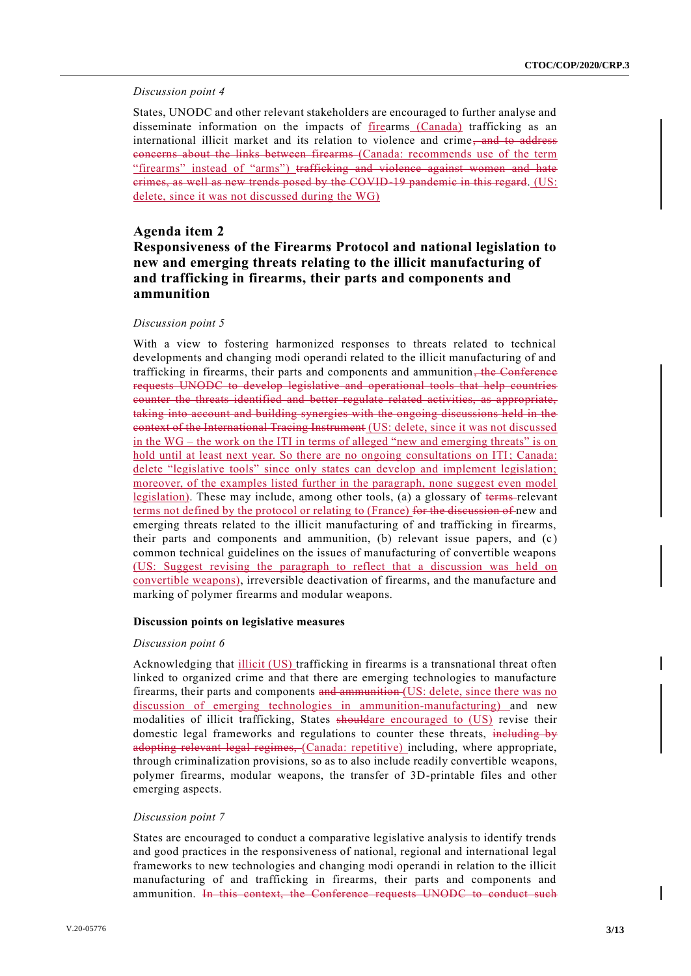#### *Discussion point 4*

States, UNODC and other relevant stakeholders are encouraged to further analyse and disseminate information on the impacts of firearms (Canada) trafficking as an international illicit market and its relation to violence and crime, and to address concerns about the links between firearms (Canada: recommends use of the term "firearms" instead of "arms") trafficking and violence against women and hate crimes, as well as new trends posed by the COVID-19 pandemic in this regard. (US: delete, since it was not discussed during the WG)

## **Agenda item 2**

## **Responsiveness of the Firearms Protocol and national legislation to new and emerging threats relating to the illicit manufacturing of and trafficking in firearms, their parts and components and ammunition**

#### *Discussion point 5*

With a view to fostering harmonized responses to threats related to technical developments and changing modi operandi related to the illicit manufacturing of and trafficking in firearms, their parts and components and ammunition, the Conference requests UNODC to develop legislative and operational tools that help countries counter the threats identified and better regulate related activities, as appropriate, taking into account and building synergies with the ongoing discussions held in the context of the International Tracing Instrument (US: delete, since it was not discussed in the WG – the work on the ITI in terms of alleged "new and emerging threats" is on hold until at least next year. So there are no ongoing consultations on ITI; Canada: delete "legislative tools" since only states can develop and implement legislation; moreover, of the examples listed further in the paragraph, none suggest even model legislation). These may include, among other tools, (a) a glossary of terms relevant terms not defined by the protocol or relating to (France) for the discussion of new and emerging threats related to the illicit manufacturing of and trafficking in firearms, their parts and components and ammunition,  $(b)$  relevant issue papers, and  $(c)$ common technical guidelines on the issues of manufacturing of convertible weapons (US: Suggest revising the paragraph to reflect that a discussion was held on convertible weapons), irreversible deactivation of firearms, and the manufacture and marking of polymer firearms and modular weapons.

#### **Discussion points on legislative measures**

#### *Discussion point 6*

Acknowledging that illicit (US) trafficking in firearms is a transnational threat often linked to organized crime and that there are emerging technologies to manufacture firearms, their parts and components and ammunition (US: delete, since there was no discussion of emerging technologies in ammunition-manufacturing) and new modalities of illicit trafficking, States shouldare encouraged to (US) revise their domestic legal frameworks and regulations to counter these threats, including by adopting relevant legal regimes, (Canada: repetitive) including, where appropriate, through criminalization provisions, so as to also include readily convertible weapons, polymer firearms, modular weapons, the transfer of 3D-printable files and other emerging aspects.

## *Discussion point 7*

States are encouraged to conduct a comparative legislative analysis to identify trends and good practices in the responsiveness of national, regional and international legal frameworks to new technologies and changing modi operandi in relation to the illicit manufacturing of and trafficking in firearms, their parts and components and ammunition. In this context, the Conference requests UNODC to conduct such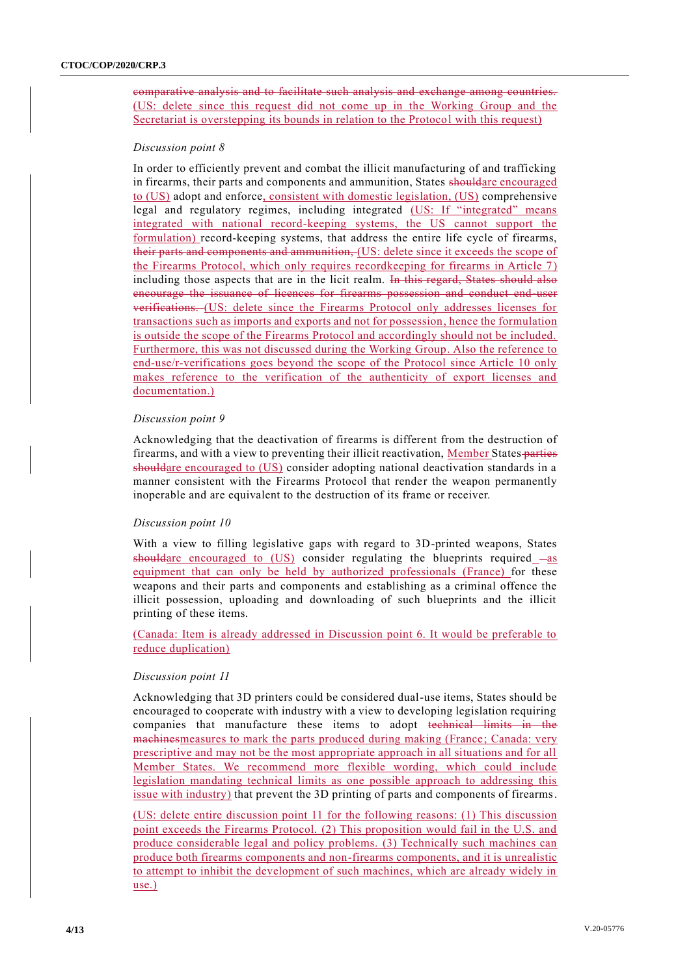comparative analysis and to facilitate such analysis and exchange among countries. (US: delete since this request did not come up in the Working Group and the Secretariat is overstepping its bounds in relation to the Protocol with this request)

## *Discussion point 8*

In order to efficiently prevent and combat the illicit manufacturing of and trafficking in firearms, their parts and components and ammunition, States shouldare encouraged to (US) adopt and enforce, consistent with domestic legislation, (US) comprehensive legal and regulatory regimes, including integrated (US: If "integrated" means integrated with national record-keeping systems, the US cannot support the formulation) record-keeping systems, that address the entire life cycle of firearms, their parts and components and ammunition, (US: delete since it exceeds the scope of the Firearms Protocol, which only requires recordkeeping for firearms in Article 7) including those aspects that are in the licit realm. In this regard, States should also encourage the issuance of licences for firearms possession and conduct end-user verifications. (US: delete since the Firearms Protocol only addresses licenses for transactions such as imports and exports and not for possession, hence the formulation is outside the scope of the Firearms Protocol and accordingly should not be included. Furthermore, this was not discussed during the Working Group. Also the reference to end-use/r-verifications goes beyond the scope of the Protocol since Article 10 only makes reference to the verification of the authenticity of export licenses and documentation.)

## *Discussion point 9*

Acknowledging that the deactivation of firearms is different from the destruction of firearms, and with a view to preventing their illicit reactivation, Member States-parties shouldare encouraged to (US) consider adopting national deactivation standards in a manner consistent with the Firearms Protocol that render the weapon permanently inoperable and are equivalent to the destruction of its frame or receiver.

## *Discussion point 10*

With a view to filling legislative gaps with regard to 3D-printed weapons, States shouldare encouraged to  $(US)$  consider regulating the blueprints required  $-as$ equipment that can only be held by authorized professionals (France) for these weapons and their parts and components and establishing as a criminal offence the illicit possession, uploading and downloading of such blueprints and the illicit printing of these items.

(Canada: Item is already addressed in Discussion point 6. It would be preferable to reduce duplication)

## *Discussion point 11*

Acknowledging that 3D printers could be considered dual-use items, States should be encouraged to cooperate with industry with a view to developing legislation requiring companies that manufacture these items to adopt technical limits in the machinesmeasures to mark the parts produced during making (France; Canada: very prescriptive and may not be the most appropriate approach in all situations and for all Member States. We recommend more flexible wording, which could include legislation mandating technical limits as one possible approach to addressing this issue with industry) that prevent the 3D printing of parts and components of firearms.

(US: delete entire discussion point 11 for the following reasons: (1) This discussion point exceeds the Firearms Protocol. (2) This proposition would fail in the U.S. and produce considerable legal and policy problems. (3) Technically such machines can produce both firearms components and non-firearms components, and it is unrealistic to attempt to inhibit the development of such machines, which are already widely in use.)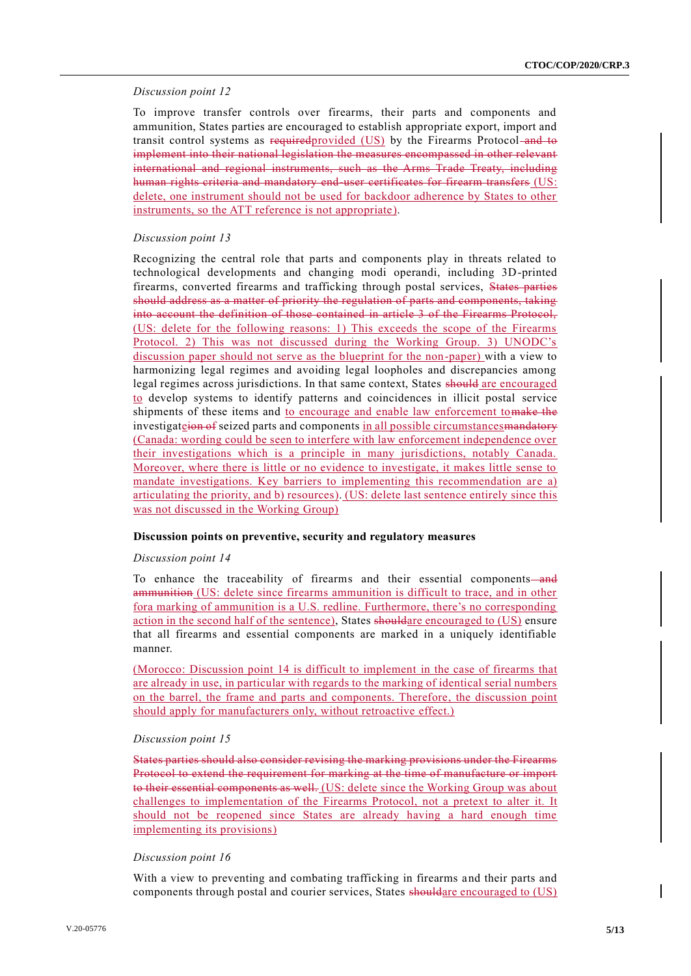## *Discussion point 12*

To improve transfer controls over firearms, their parts and components and ammunition, States parties are encouraged to establish appropriate export, import and transit control systems as required provided (US) by the Firearms Protocol and to implement into their national legislation the measures encompassed in other relevant international and regional instruments, such as the Arms Trade Treaty, including human rights criteria and mandatory end user certificates for firearm transfers (US: delete, one instrument should not be used for backdoor adherence by States to other instruments, so the ATT reference is not appropriate).

## *Discussion point 13*

Recognizing the central role that parts and components play in threats related to technological developments and changing modi operandi, including 3D-printed firearms, converted firearms and trafficking through postal services, States parties should address as a matter of priority the regulation of parts and components, taking into account the definition of those contained in article 3 of the Firearms Protocol, (US: delete for the following reasons: 1) This exceeds the scope of the Firearms Protocol. 2) This was not discussed during the Working Group. 3) UNODC's discussion paper should not serve as the blueprint for the non-paper) with a view to harmonizing legal regimes and avoiding legal loopholes and discrepancies among legal regimes across jurisdictions. In that same context, States should are encouraged to develop systems to identify patterns and coincidences in illicit postal service shipments of these items and to encourage and enable law enforcement to make the investigate *i*on of seized parts and components in all possible circumstances mandatory (Canada: wording could be seen to interfere with law enforcement independence over their investigations which is a principle in many jurisdictions, notably Canada. Moreover, where there is little or no evidence to investigate, it makes little sense to mandate investigations. Key barriers to implementing this recommendation are a) articulating the priority, and b) resources). (US: delete last sentence entirely since this was not discussed in the Working Group)

#### **Discussion points on preventive, security and regulatory measures**

#### *Discussion point 14*

To enhance the traceability of firearms and their essential components—and ammunition (US: delete since firearms ammunition is difficult to trace, and in other fora marking of ammunition is a U.S. redline. Furthermore, there's no corresponding action in the second half of the sentence), States should are encouraged to (US) ensure that all firearms and essential components are marked in a uniquely identifiable manner.

(Morocco: Discussion point 14 is difficult to implement in the case of firearms that are already in use, in particular with regards to the marking of identical serial numbers on the barrel, the frame and parts and components. Therefore, the discussion point should apply for manufacturers only, without retroactive effect.)

#### *Discussion point 15*

States parties should also consider revising the marking provisions under the Firearms Protocol to extend the requirement for marking at the time of manufacture or import to their essential components as well. (US: delete since the Working Group was about challenges to implementation of the Firearms Protocol, not a pretext to alter it. It should not be reopened since States are already having a hard enough time implementing its provisions)

#### *Discussion point 16*

With a view to preventing and combating trafficking in firearms and their parts and components through postal and courier services, States shouldare encouraged to (US)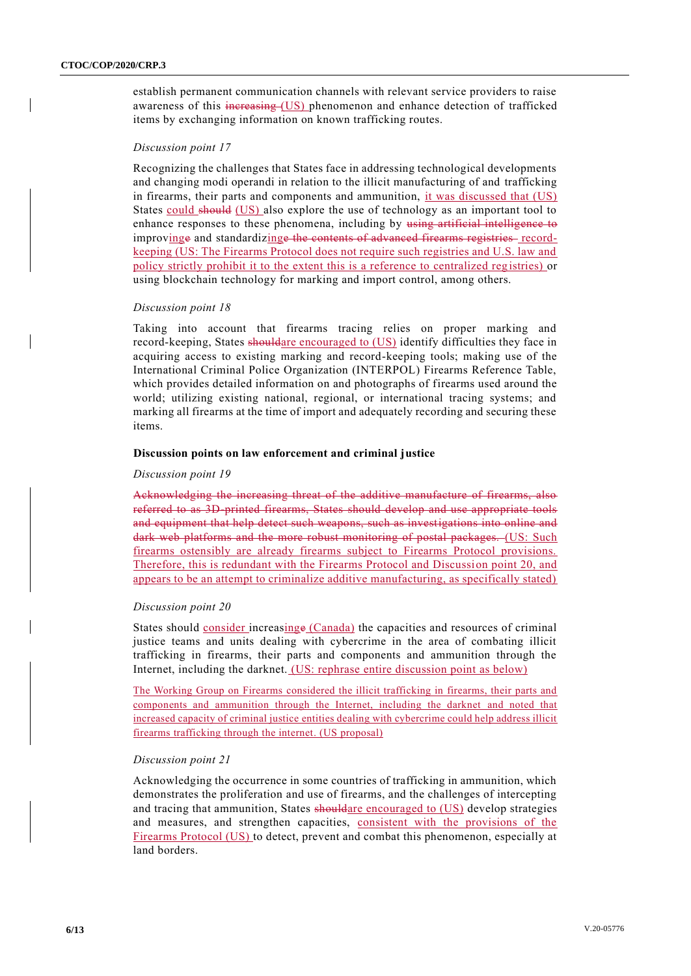establish permanent communication channels with relevant service providers to raise awareness of this increasing (US) phenomenon and enhance detection of trafficked items by exchanging information on known trafficking routes.

## *Discussion point 17*

Recognizing the challenges that States face in addressing technological developments and changing modi operandi in relation to the illicit manufacturing of and trafficking in firearms, their parts and components and ammunition, it was discussed that (US) States could should (US) also explore the use of technology as an important tool to enhance responses to these phenomena, including by using artificial intelligence to improvinge and standardizinge the contents of advanced firearms registries recordkeeping (US: The Firearms Protocol does not require such registries and U.S. law and policy strictly prohibit it to the extent this is a reference to centralized reg istries) or using blockchain technology for marking and import control, among others.

#### *Discussion point 18*

Taking into account that firearms tracing relies on proper marking and record-keeping, States shouldare encouraged to (US) identify difficulties they face in acquiring access to existing marking and record-keeping tools; making use of the International Criminal Police Organization (INTERPOL) Firearms Reference Table, which provides detailed information on and photographs of firearms used around the world; utilizing existing national, regional, or international tracing systems; and marking all firearms at the time of import and adequately recording and securing these items.

#### **Discussion points on law enforcement and criminal justice**

#### *Discussion point 19*

Acknowledging the increasing threat of the additive manufacture of firearms, also referred to as 3D-printed firearms, States should develop and use appropriate tools and equipment that help detect such weapons, such as investigations into online and dark web platforms and the more robust monitoring of postal packages. (US: Such firearms ostensibly are already firearms subject to Firearms Protocol provisions. Therefore, this is redundant with the Firearms Protocol and Discussion point 20, and appears to be an attempt to criminalize additive manufacturing, as specifically stated)

#### *Discussion point 20*

States should consider increasinge (Canada) the capacities and resources of criminal justice teams and units dealing with cybercrime in the area of combating illicit trafficking in firearms, their parts and components and ammunition through the Internet, including the darknet. (US: rephrase entire discussion point as below)

The Working Group on Firearms considered the illicit trafficking in firearms, their parts and components and ammunition through the Internet, including the darknet and noted that increased capacity of criminal justice entities dealing with cybercrime could help address illicit firearms trafficking through the internet. (US proposal)

#### *Discussion point 21*

Acknowledging the occurrence in some countries of trafficking in ammunition, which demonstrates the proliferation and use of firearms, and the challenges of intercepting and tracing that ammunition, States shouldare encouraged to (US) develop strategies and measures, and strengthen capacities, consistent with the provisions of the Firearms Protocol (US) to detect, prevent and combat this phenomenon, especially at land borders.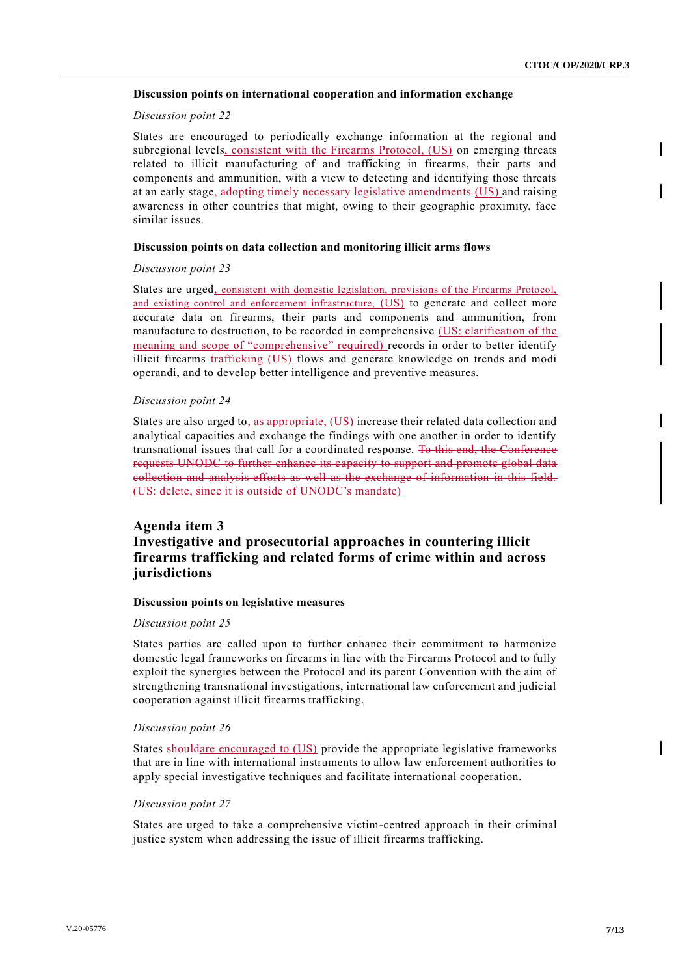#### **Discussion points on international cooperation and information exchange**

#### *Discussion point 22*

States are encouraged to periodically exchange information at the regional and subregional levels, consistent with the Firearms Protocol, (US) on emerging threats related to illicit manufacturing of and trafficking in firearms, their parts and components and ammunition, with a view to detecting and identifying those threats at an early stage<del>, adopting timely necessary legislative amendments</del> (US) and raising awareness in other countries that might, owing to their geographic proximity, face similar issues.

#### **Discussion points on data collection and monitoring illicit arms flows**

#### *Discussion point 23*

States are urged, consistent with domestic legislation, provisions of the Firearms Protocol, and existing control and enforcement infrastructure, (US) to generate and collect more accurate data on firearms, their parts and components and ammunition, from manufacture to destruction, to be recorded in comprehensive (US: clarification of the meaning and scope of "comprehensive" required) records in order to better identify illicit firearms trafficking (US) flows and generate knowledge on trends and modi operandi, and to develop better intelligence and preventive measures.

### *Discussion point 24*

States are also urged to, as appropriate, (US) increase their related data collection and analytical capacities and exchange the findings with one another in order to identify transnational issues that call for a coordinated response. To this end, the Conference requests UNODC to further enhance its capacity to support and promote global data collection and analysis efforts as well as the exchange of information in this field. (US: delete, since it is outside of UNODC's mandate)

## **Agenda item 3 Investigative and prosecutorial approaches in countering illicit firearms trafficking and related forms of crime within and across jurisdictions**

#### **Discussion points on legislative measures**

#### *Discussion point 25*

States parties are called upon to further enhance their commitment to harmonize domestic legal frameworks on firearms in line with the Firearms Protocol and to fully exploit the synergies between the Protocol and its parent Convention with the aim of strengthening transnational investigations, international law enforcement and judicial cooperation against illicit firearms trafficking.

#### *Discussion point 26*

States shouldare encouraged to (US) provide the appropriate legislative frameworks that are in line with international instruments to allow law enforcement authorities to apply special investigative techniques and facilitate international cooperation.

#### *Discussion point 27*

States are urged to take a comprehensive victim-centred approach in their criminal justice system when addressing the issue of illicit firearms trafficking.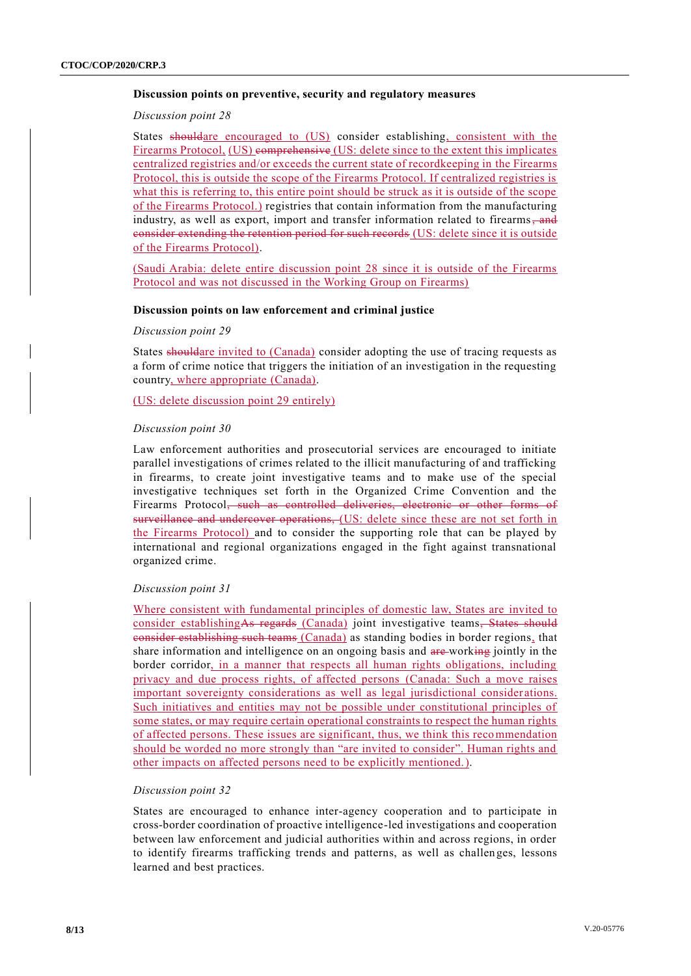#### **Discussion points on preventive, security and regulatory measures**

#### *Discussion point 28*

States shouldare encouraged to (US) consider establishing, consistent with the Firearms Protocol, (US) comprehensive (US: delete since to the extent this implicates centralized registries and/or exceeds the current state of recordkeeping in the Firearms Protocol, this is outside the scope of the Firearms Protocol. If centralized registries is what this is referring to, this entire point should be struck as it is outside of the scope of the Firearms Protocol.) registries that contain information from the manufacturing industry, as well as export, import and transfer information related to firearms, and consider extending the retention period for such records (US: delete since it is outside of the Firearms Protocol).

(Saudi Arabia: delete entire discussion point 28 since it is outside of the Firearms Protocol and was not discussed in the Working Group on Firearms)

## **Discussion points on law enforcement and criminal justice**

#### *Discussion point 29*

States shouldare invited to (Canada) consider adopting the use of tracing requests as a form of crime notice that triggers the initiation of an investigation in the requesting country, where appropriate (Canada).

(US: delete discussion point 29 entirely)

#### *Discussion point 30*

Law enforcement authorities and prosecutorial services are encouraged to initiate parallel investigations of crimes related to the illicit manufacturing of and trafficking in firearms, to create joint investigative teams and to make use of the special investigative techniques set forth in the Organized Crime Convention and the Firearms Protocol, such as controlled deliveries, electronic or other forms of surveillance and undercover operations, (US: delete since these are not set forth in the Firearms Protocol) and to consider the supporting role that can be played by international and regional organizations engaged in the fight against transnational organized crime.

#### *Discussion point 31*

Where consistent with fundamental principles of domestic law, States are invited to consider establishingAs regards (Canada) joint investigative teams, States should consider establishing such teams (Canada) as standing bodies in border regions, that share information and intelligence on an ongoing basis and are-working jointly in the border corridor, in a manner that respects all human rights obligations, including privacy and due process rights, of affected persons (Canada: Such a move raises important sovereignty considerations as well as legal jurisdictional consider ations. Such initiatives and entities may not be possible under constitutional principles of some states, or may require certain operational constraints to respect the human rights of affected persons. These issues are significant, thus, we think this recommendation should be worded no more strongly than "are invited to consider". Human rights and other impacts on affected persons need to be explicitly mentioned.).

#### *Discussion point 32*

States are encouraged to enhance inter-agency cooperation and to participate in cross-border coordination of proactive intelligence-led investigations and cooperation between law enforcement and judicial authorities within and across regions, in order to identify firearms trafficking trends and patterns, as well as challen ges, lessons learned and best practices.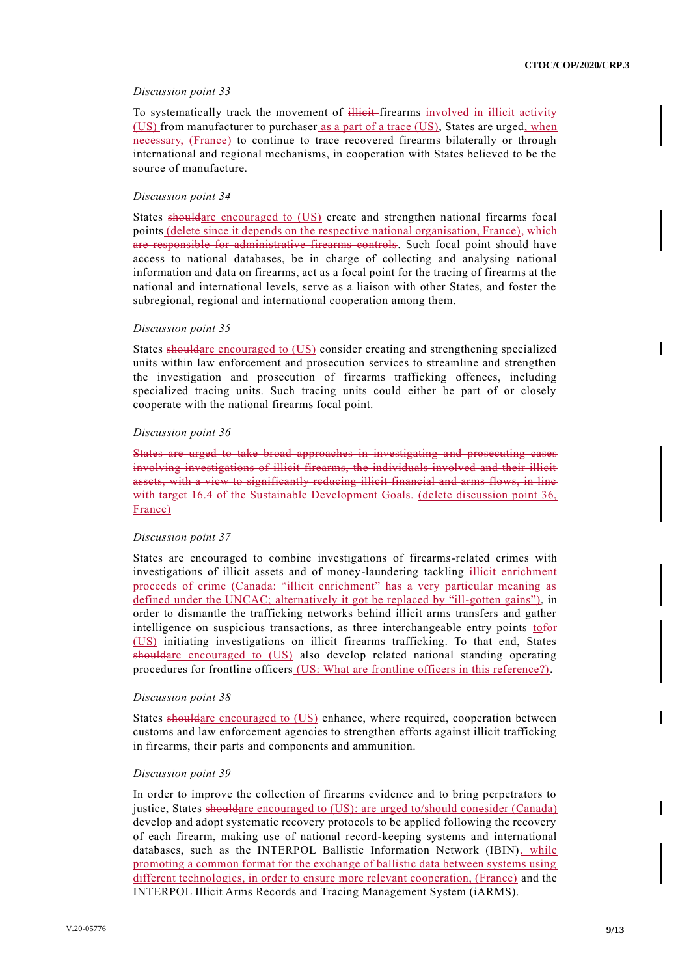#### *Discussion point 33*

To systematically track the movement of illicit-firearms involved in illicit activity (US) from manufacturer to purchaser as a part of a trace (US), States are urged, when necessary, (France) to continue to trace recovered firearms bilaterally or through international and regional mechanisms, in cooperation with States believed to be the source of manufacture.

#### *Discussion point 34*

States shouldare encouraged to (US) create and strengthen national firearms focal points (delete since it depends on the respective national organisation, France), which are responsible for administrative firearms controls. Such focal point should have access to national databases, be in charge of collecting and analysing national information and data on firearms, act as a focal point for the tracing of firearms at the national and international levels, serve as a liaison with other States, and foster the subregional, regional and international cooperation among them.

#### *Discussion point 35*

States shouldare encouraged to (US) consider creating and strengthening specialized units within law enforcement and prosecution services to streamline and strengthen the investigation and prosecution of firearms trafficking offences, including specialized tracing units. Such tracing units could either be part of or closely cooperate with the national firearms focal point.

#### *Discussion point 36*

States are urged to take broad approaches in investigating and prosecuting cases involving investigations of illicit firearms, the individuals involved and their illicit assets, with a view to significantly reducing illicit financial and arms flows, in line with target 16.4 of the Sustainable Development Goals. (delete discussion point 36, France)

#### *Discussion point 37*

States are encouraged to combine investigations of firearms-related crimes with investigations of illicit assets and of money-laundering tackling illicit enrichment proceeds of crime (Canada: "illicit enrichment" has a very particular meaning as defined under the UNCAC; alternatively it got be replaced by "ill-gotten gains"), in order to dismantle the trafficking networks behind illicit arms transfers and gather intelligence on suspicious transactions, as three interchangeable entry points tofor (US) initiating investigations on illicit firearms trafficking. To that end, States shouldare encouraged to (US) also develop related national standing operating procedures for frontline officers (US: What are frontline officers in this reference?).

#### *Discussion point 38*

States shouldare encouraged to (US) enhance, where required, cooperation between customs and law enforcement agencies to strengthen efforts against illicit trafficking in firearms, their parts and components and ammunition.

#### *Discussion point 39*

In order to improve the collection of firearms evidence and to bring perpetrators to justice, States shouldare encouraged to (US); are urged to/should conesider (Canada) develop and adopt systematic recovery protocols to be applied following the recovery of each firearm, making use of national record-keeping systems and international databases, such as the INTERPOL Ballistic Information Network (IBIN), while promoting a common format for the exchange of ballistic data between systems using different technologies, in order to ensure more relevant cooperation, (France) and the INTERPOL Illicit Arms Records and Tracing Management System (iARMS).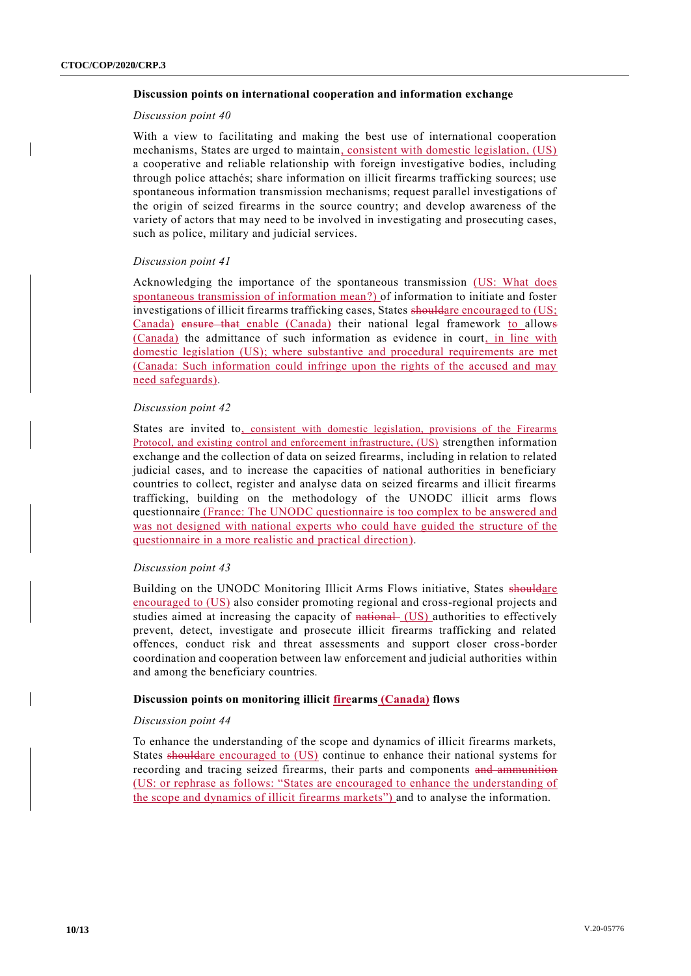#### **Discussion points on international cooperation and information exchange**

#### *Discussion point 40*

With a view to facilitating and making the best use of international cooperation mechanisms, States are urged to maintain, consistent with domestic legislation, (US) a cooperative and reliable relationship with foreign investigative bodies, including through police attachés; share information on illicit firearms trafficking sources; use spontaneous information transmission mechanisms; request parallel investigations of the origin of seized firearms in the source country; and develop awareness of the variety of actors that may need to be involved in investigating and prosecuting cases, such as police, military and judicial services.

#### *Discussion point 41*

Acknowledging the importance of the spontaneous transmission (US: What does spontaneous transmission of information mean?) of information to initiate and foster investigations of illicit firearms trafficking cases, States shouldare encouraged to (US; Canada) ensure that enable (Canada) their national legal framework to allows (Canada) the admittance of such information as evidence in court, in line with domestic legislation (US); where substantive and procedural requirements are met (Canada: Such information could infringe upon the rights of the accused and may need safeguards).

#### *Discussion point 42*

States are invited to, consistent with domestic legislation, provisions of the Firearms Protocol, and existing control and enforcement infrastructure, (US) strengthen information exchange and the collection of data on seized firearms, including in relation to related judicial cases, and to increase the capacities of national authorities in beneficiary countries to collect, register and analyse data on seized firearms and illicit firearms trafficking, building on the methodology of the UNODC illicit arms flows questionnaire (France: The UNODC questionnaire is too complex to be answered and was not designed with national experts who could have guided the structure of the questionnaire in a more realistic and practical direction).

#### *Discussion point 43*

Building on the UNODC Monitoring Illicit Arms Flows initiative, States shouldare encouraged to (US) also consider promoting regional and cross-regional projects and studies aimed at increasing the capacity of national (US) authorities to effectively prevent, detect, investigate and prosecute illicit firearms trafficking and related offences, conduct risk and threat assessments and support closer cross-border coordination and cooperation between law enforcement and judicial authorities within and among the beneficiary countries.

#### **Discussion points on monitoring illicit firearms (Canada) flows**

#### *Discussion point 44*

To enhance the understanding of the scope and dynamics of illicit firearms markets, States shouldare encouraged to (US) continue to enhance their national systems for recording and tracing seized firearms, their parts and components and ammunition (US: or rephrase as follows: "States are encouraged to enhance the understanding of the scope and dynamics of illicit firearms markets") and to analyse the information.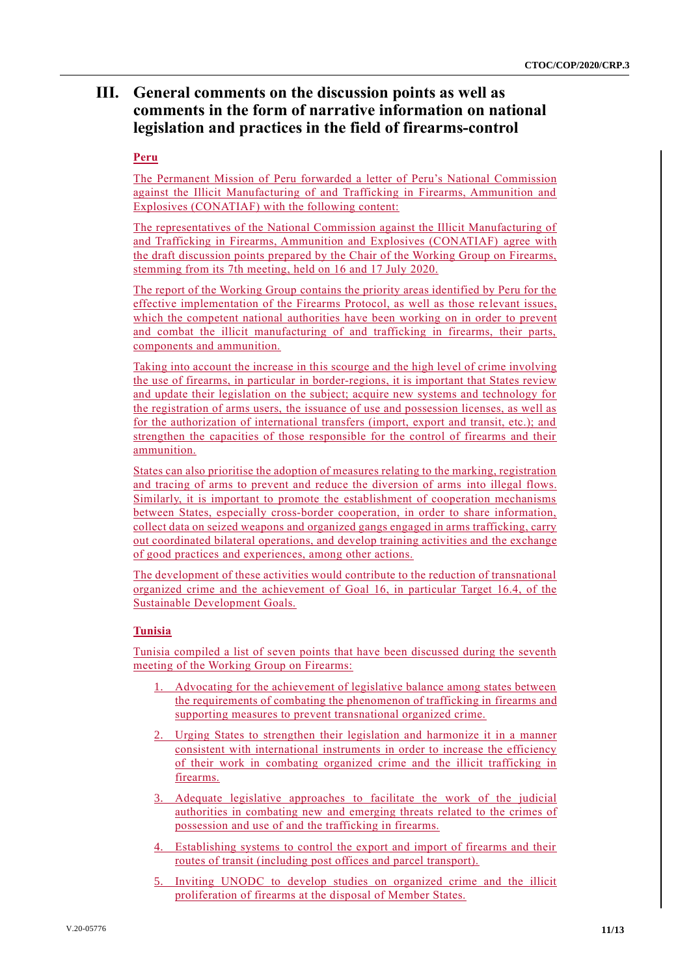# **III. General comments on the discussion points as well as comments in the form of narrative information on national legislation and practices in the field of firearms-control**

## **Peru**

The Permanent Mission of Peru forwarded a letter of Peru's National Commission against the Illicit Manufacturing of and Trafficking in Firearms, Ammunition and Explosives (CONATIAF) with the following content:

The representatives of the National Commission against the Illicit Manufacturing of and Trafficking in Firearms, Ammunition and Explosives (CONATIAF) agree with the draft discussion points prepared by the Chair of the Working Group on Firearms, stemming from its 7th meeting, held on 16 and 17 July 2020.

The report of the Working Group contains the priority areas identified by Peru for the effective implementation of the Firearms Protocol, as well as those re levant issues, which the competent national authorities have been working on in order to prevent and combat the illicit manufacturing of and trafficking in firearms, their parts, components and ammunition.

Taking into account the increase in this scourge and the high level of crime involving the use of firearms, in particular in border-regions, it is important that States review and update their legislation on the subject; acquire new systems and technology for the registration of arms users, the issuance of use and possession licenses, as well as for the authorization of international transfers (import, export and transit, etc.); and strengthen the capacities of those responsible for the control of firearms and their ammunition.

States can also prioritise the adoption of measures relating to the marking, registration and tracing of arms to prevent and reduce the diversion of arms into illegal flows. Similarly, it is important to promote the establishment of cooperation mechanisms between States, especially cross-border cooperation, in order to share information, collect data on seized weapons and organized gangs engaged in arms trafficking, carry out coordinated bilateral operations, and develop training activities and the exchange of good practices and experiences, among other actions.

The development of these activities would contribute to the reduction of transnational organized crime and the achievement of Goal 16, in particular Target 16.4, of the Sustainable Development Goals.

## **Tunisia**

Tunisia compiled a list of seven points that have been discussed during the seventh meeting of the Working Group on Firearms:

- 1. Advocating for the achievement of legislative balance among states between the requirements of combating the phenomenon of trafficking in firearms and supporting measures to prevent transnational organized crime.
- 2. Urging States to strengthen their legislation and harmonize it in a manner consistent with international instruments in order to increase the efficiency of their work in combating organized crime and the illicit trafficking in firearms.
- 3. Adequate legislative approaches to facilitate the work of the judicial authorities in combating new and emerging threats related to the crimes of possession and use of and the trafficking in firearms.
- 4. Establishing systems to control the export and import of firearms and their routes of transit (including post offices and parcel transport).
- 5. Inviting UNODC to develop studies on organized crime and the illicit proliferation of firearms at the disposal of Member States.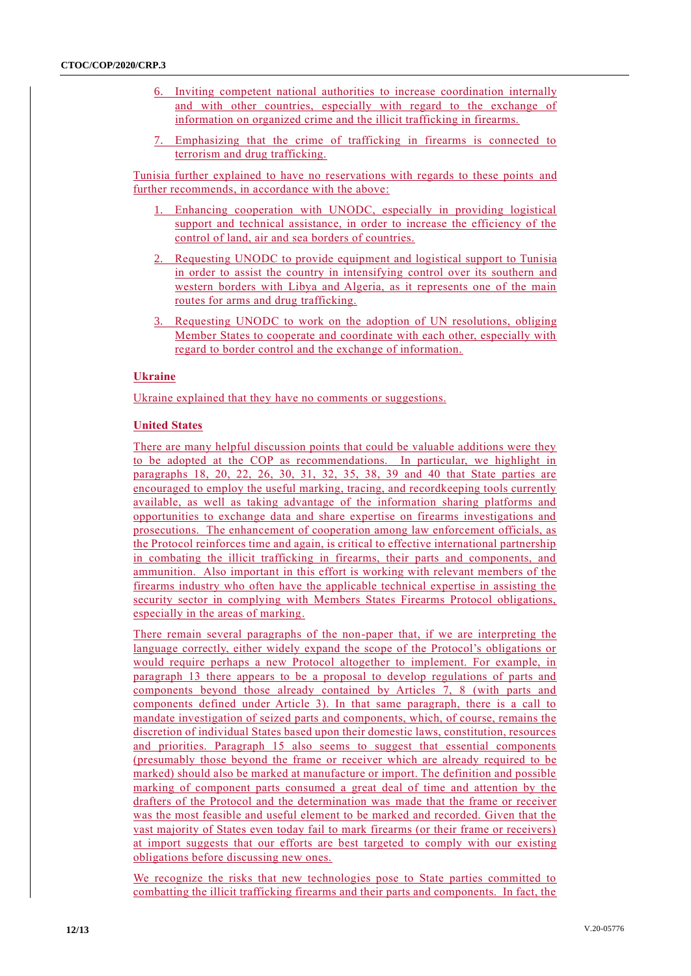- 6. Inviting competent national authorities to increase coordination internally and with other countries, especially with regard to the exchange of information on organized crime and the illicit trafficking in firearms.
- 7. Emphasizing that the crime of trafficking in firearms is connected to terrorism and drug trafficking.

Tunisia further explained to have no reservations with regards to these points and further recommends, in accordance with the above:

- 1. Enhancing cooperation with UNODC, especially in providing logistical support and technical assistance, in order to increase the efficiency of the control of land, air and sea borders of countries.
- 2. Requesting UNODC to provide equipment and logistical support to Tunisia in order to assist the country in intensifying control over its southern and western borders with Libya and Algeria, as it represents one of the main routes for arms and drug trafficking.
- 3. Requesting UNODC to work on the adoption of UN resolutions, obliging Member States to cooperate and coordinate with each other, especially with regard to border control and the exchange of information.

## **Ukraine**

Ukraine explained that they have no comments or suggestions.

## **United States**

There are many helpful discussion points that could be valuable additions were they to be adopted at the COP as recommendations. In particular, we highlight in paragraphs 18, 20, 22, 26, 30, 31, 32, 35, 38, 39 and 40 that State parties are encouraged to employ the useful marking, tracing, and recordkeeping tools currently available, as well as taking advantage of the information sharing platforms and opportunities to exchange data and share expertise on firearms investigations and prosecutions. The enhancement of cooperation among law enforcement officials, as the Protocol reinforces time and again, is critical to effective international partnership in combating the illicit trafficking in firearms, their parts and components, and ammunition. Also important in this effort is working with relevant members of the firearms industry who often have the applicable technical expertise in assisting the security sector in complying with Members States Firearms Protocol obligations, especially in the areas of marking.

There remain several paragraphs of the non-paper that, if we are interpreting the language correctly, either widely expand the scope of the Protocol's obligations or would require perhaps a new Protocol altogether to implement. For example, in paragraph 13 there appears to be a proposal to develop regulations of parts and components beyond those already contained by Articles 7, 8 (with parts and components defined under Article 3). In that same paragraph, there is a call to mandate investigation of seized parts and components, which, of course, remains the discretion of individual States based upon their domestic laws, constitution, resources and priorities. Paragraph 15 also seems to suggest that essential components (presumably those beyond the frame or receiver which are already required to be marked) should also be marked at manufacture or import. The definition and possible marking of component parts consumed a great deal of time and attention by the drafters of the Protocol and the determination was made that the frame or receiver was the most feasible and useful element to be marked and recorded. Given that the vast majority of States even today fail to mark firearms (or their frame or receivers) at import suggests that our efforts are best targeted to comply with our existing obligations before discussing new ones.

We recognize the risks that new technologies pose to State parties committed to combatting the illicit trafficking firearms and their parts and components. In fact, the